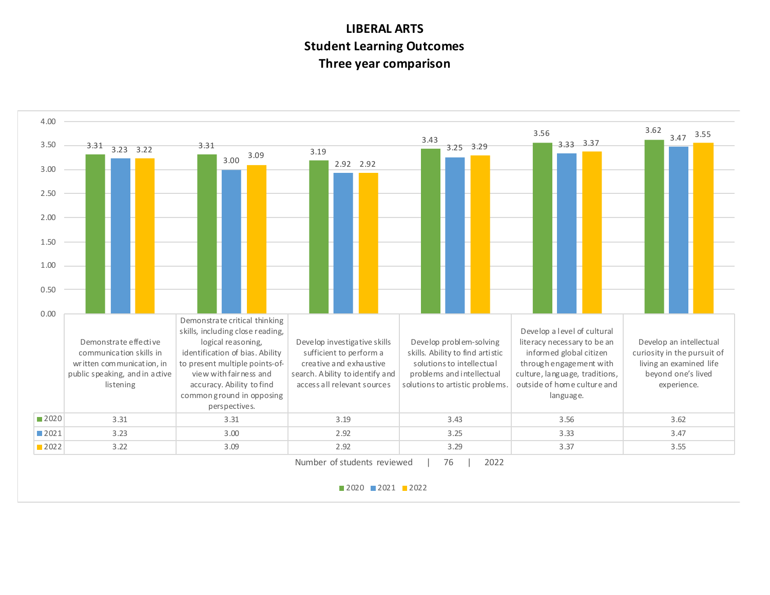## **LIBERAL ARTS Student Learning Outcomes Three year comparison**



■2020 2021 2022